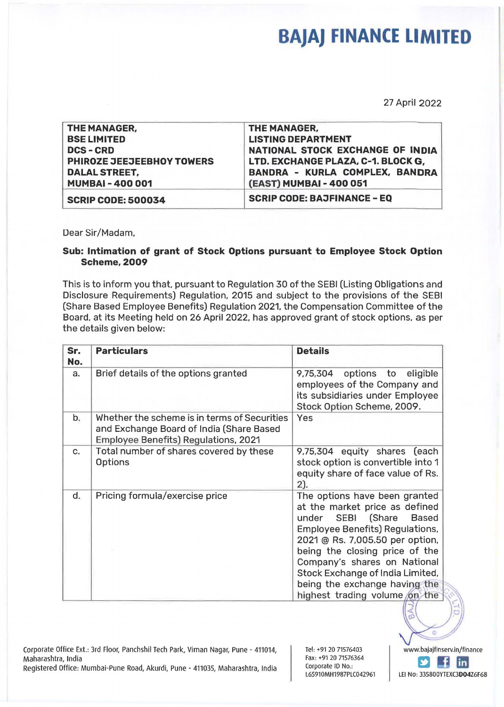## **BAJAJ FINANCE LIMITED**

27 April 2022

| THE MANAGER,              | THE MANAGER,                          |
|---------------------------|---------------------------------------|
| <b>BSE LIMITED</b>        | <b>LISTING DEPARTMENT</b>             |
| <b>DCS-CRD</b>            | NATIONAL STOCK EXCHANGE OF INDIA      |
| PHIROZE JEEJEEBHOY TOWERS | LTD. EXCHANGE PLAZA, C-1. BLOCK G,    |
| <b>DALAL STREET,</b>      | <b>BANDRA - KURLA COMPLEX, BANDRA</b> |
| <b>MUMBAI-400001</b>      | (EAST) MUMBAI - 400 051               |
| <b>SCRIP CODE: 500034</b> | <b>SCRIP CODE: BAJFINANCE - EQ</b>    |

Dear Sir/Madam.

## **Sub: Intimation of grant of Stock Options pursuant to Employee Stock Option Scheme, 2009**

This is to inform you that. pursuant to Regulation 30 of the SEBI (Listing Obligations and Disclosure Requirements) Regulation, 2015 and subject to the provisions of the SEBI (Share Based Employee Benefits) Regulation 2021. the Compensation Committee of the Board. at its Meeting held on 26 April 2022, has approved grant of stock options. as per the details given below:

| Sr.<br>No. | <b>Particulars</b>                                                                                                               | <b>Details</b>                                                                                                                                                                                                                                                                                                                                            |
|------------|----------------------------------------------------------------------------------------------------------------------------------|-----------------------------------------------------------------------------------------------------------------------------------------------------------------------------------------------------------------------------------------------------------------------------------------------------------------------------------------------------------|
| a.         | Brief details of the options granted                                                                                             | 9,75,304<br>options to eligible<br>employees of the Company and<br>its subsidiaries under Employee<br>Stock Option Scheme, 2009.                                                                                                                                                                                                                          |
| b.         | Whether the scheme is in terms of Securities<br>and Exchange Board of India (Share Based<br>Employee Benefits) Regulations, 2021 | Yes                                                                                                                                                                                                                                                                                                                                                       |
| C.         | Total number of shares covered by these<br>Options                                                                               | 9,75,304 equity shares (each<br>stock option is convertible into 1<br>equity share of face value of Rs.<br>2).                                                                                                                                                                                                                                            |
| d.         | Pricing formula/exercise price                                                                                                   | The options have been granted<br>at the market price as defined<br>under SEBI (Share<br><b>Based</b><br><b>Employee Benefits) Regulations,</b><br>2021 @ Rs. 7,005.50 per option,<br>being the closing price of the<br>Company's shares on National<br>Stock Exchange of India Limited,<br>being the exchange having the<br>highest trading volume on the |

Corporate Office Ext.: 3rd Floor, Panchshil Tech Park, Viman Nagar, Pune - 411014, Maharashtra, India

Registered Office: Mumbai-Pune Road, Akurdi, Pune - 411035, Maharashtra, India

Tel: +91 20 71576403 Fax: +91 20 71576364 Corporate ID No.: L65910MH1987PLC042961



 $31 - 14$